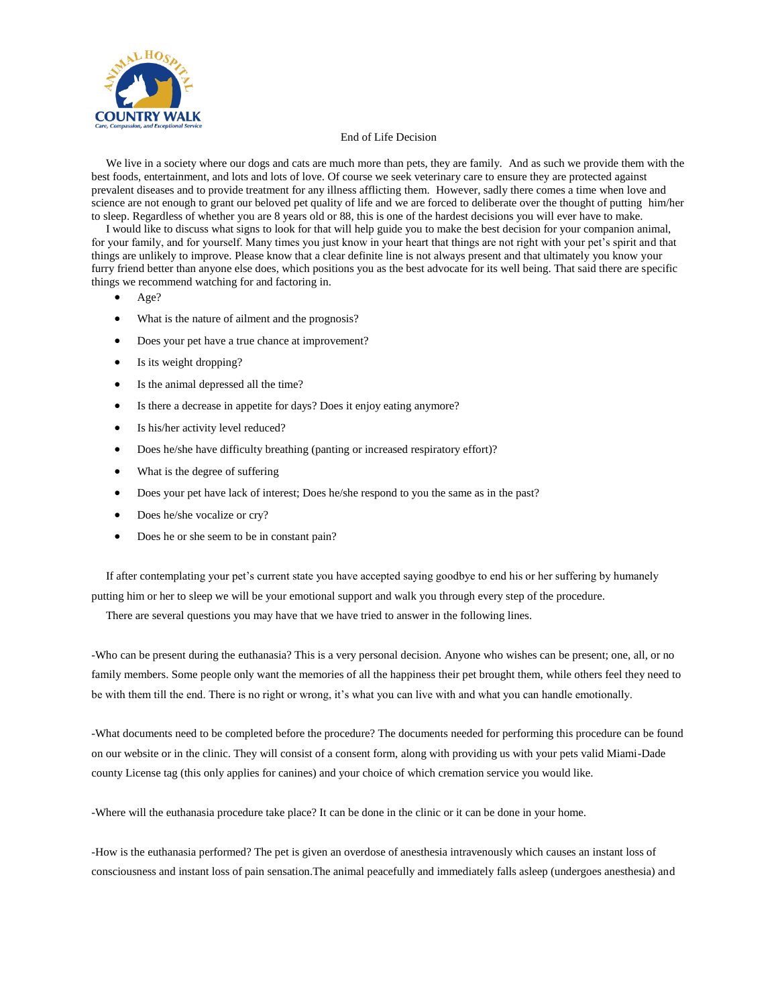

## End of Life Decision

 We live in a society where our dogs and cats are much more than pets, they are family. And as such we provide them with the best foods, entertainment, and lots and lots of love. Of course we seek veterinary care to ensure they are protected against prevalent diseases and to provide treatment for any illness afflicting them. However, sadly there comes a time when love and science are not enough to grant our beloved pet quality of life and we are forced to deliberate over the thought of putting him/her to sleep. Regardless of whether you are 8 years old or 88, this is one of the hardest decisions you will ever have to make.

 I would like to discuss what signs to look for that will help guide you to make the best decision for your companion animal, for your family, and for yourself. Many times you just know in your heart that things are not right with your pet's spirit and that things are unlikely to improve. Please know that a clear definite line is not always present and that ultimately you know your furry friend better than anyone else does, which positions you as the best advocate for its well being. That said there are specific things we recommend watching for and factoring in.

- $\bullet$  Age?
- What is the nature of ailment and the prognosis?
- Does your pet have a true chance at improvement?
- Is its weight dropping?
- Is the animal depressed all the time?
- Is there a decrease in appetite for days? Does it enjoy eating anymore?
- Is his/her activity level reduced?
- Does he/she have difficulty breathing (panting or increased respiratory effort)?
- What is the degree of suffering
- Does your pet have lack of interest; Does he/she respond to you the same as in the past?
- Does he/she vocalize or cry?
- Does he or she seem to be in constant pain?

 If after contemplating your pet's current state you have accepted saying goodbye to end his or her suffering by humanely putting him or her to sleep we will be your emotional support and walk you through every step of the procedure.

There are several questions you may have that we have tried to answer in the following lines.

-Who can be present during the euthanasia? This is a very personal decision. Anyone who wishes can be present; one, all, or no family members. Some people only want the memories of all the happiness their pet brought them, while others feel they need to be with them till the end. There is no right or wrong, it's what you can live with and what you can handle emotionally.

-What documents need to be completed before the procedure? The documents needed for performing this procedure can be found on our website or in the clinic. They will consist of a consent form, along with providing us with your pets valid Miami-Dade county License tag (this only applies for canines) and your choice of which cremation service you would like.

-Where will the euthanasia procedure take place? It can be done in the clinic or it can be done in your home.

-How is the euthanasia performed? The pet is given an overdose of anesthesia intravenously which causes an instant loss of consciousness and instant loss of pain sensation.The animal peacefully and immediately falls asleep (undergoes anesthesia) and